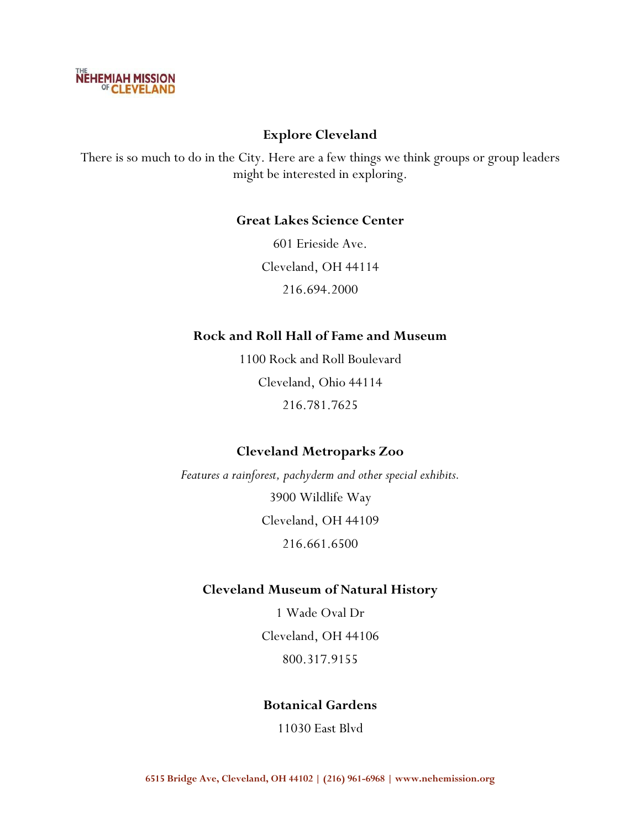

# **Explore Cleveland**

There is so much to do in the City. Here are a few things we think groups or group leaders might be interested in exploring.

## **Great Lakes Science Center**

601 Erieside Ave. Cleveland, OH 44114 216.694.2000

## **Rock and Roll Hall of Fame and Museum**

1100 Rock and Roll Boulevard Cleveland, Ohio 44114 216.781.7625

# **Cleveland Metroparks Zoo**

*Features a rainforest, pachyderm and other special exhibits.* 3900 Wildlife Way Cleveland, OH 44109 216.661.6500

## **Cleveland Museum of Natural History**

1 Wade Oval Dr Cleveland, OH 44106 800.317.9155

# **Botanical Gardens**

11030 East Blvd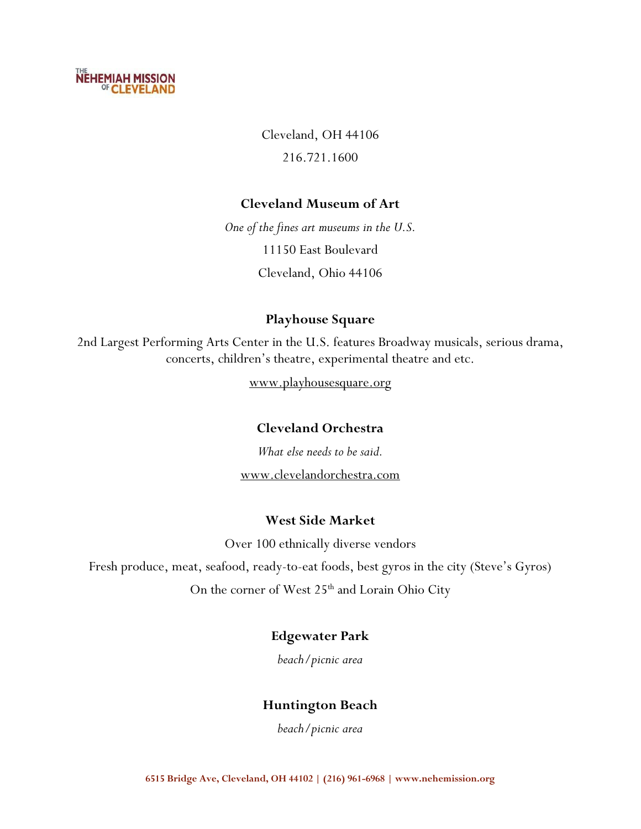

Cleveland, OH 44106 216.721.1600

## **Cleveland Museum of Art**

*One of the fines art museums in the U.S.* 11150 East Boulevard Cleveland, Ohio 44106

## **Playhouse Square**

2nd Largest Performing Arts Center in the U.S. features Broadway musicals, serious drama, concerts, children's theatre, experimental theatre and etc.

www.playhousesquare.org

# **Cleveland Orchestra**

*What else needs to be said.* www.clevelandorchestra.com

## **West Side Market**

Over 100 ethnically diverse vendors

Fresh produce, meat, seafood, ready-to-eat foods, best gyros in the city (Steve's Gyros) On the corner of West 25<sup>th</sup> and Lorain Ohio City

## **Edgewater Park**

*beach/picnic area*

## **Huntington Beach**

*beach/picnic area*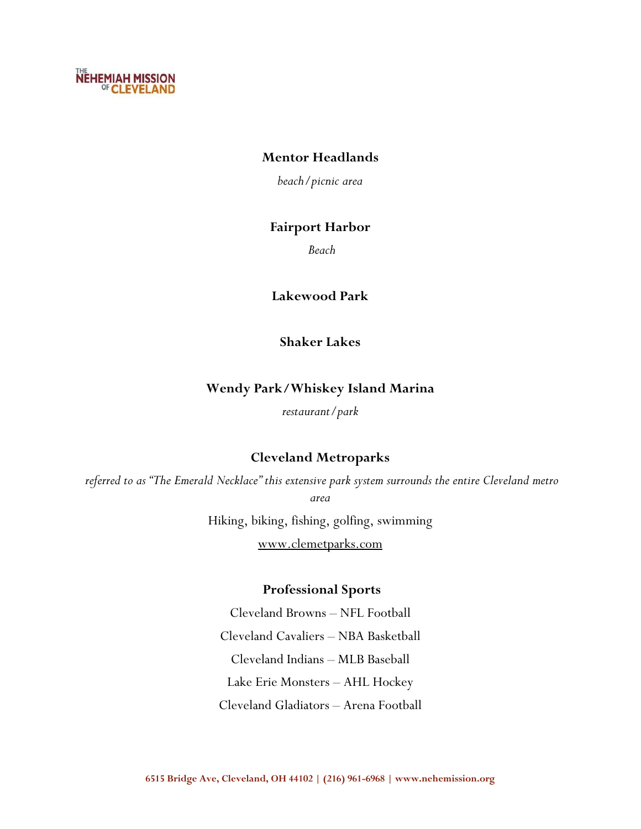

## **Mentor Headlands**

*beach/picnic area*

## **Fairport Harbor**

*Beach*

**Lakewood Park**

**Shaker Lakes**

## **Wendy Park/Whiskey Island Marina**

*restaurant/park*

## **Cleveland Metroparks**

*referred to as "The Emerald Necklace" this extensive park system surrounds the entire Cleveland metro area*

> Hiking, biking, fishing, golfing, swimming www.clemetparks.com

## **Professional Sports**

Cleveland Browns – NFL Football Cleveland Cavaliers – NBA Basketball Cleveland Indians – MLB Baseball Lake Erie Monsters – AHL Hockey Cleveland Gladiators – Arena Football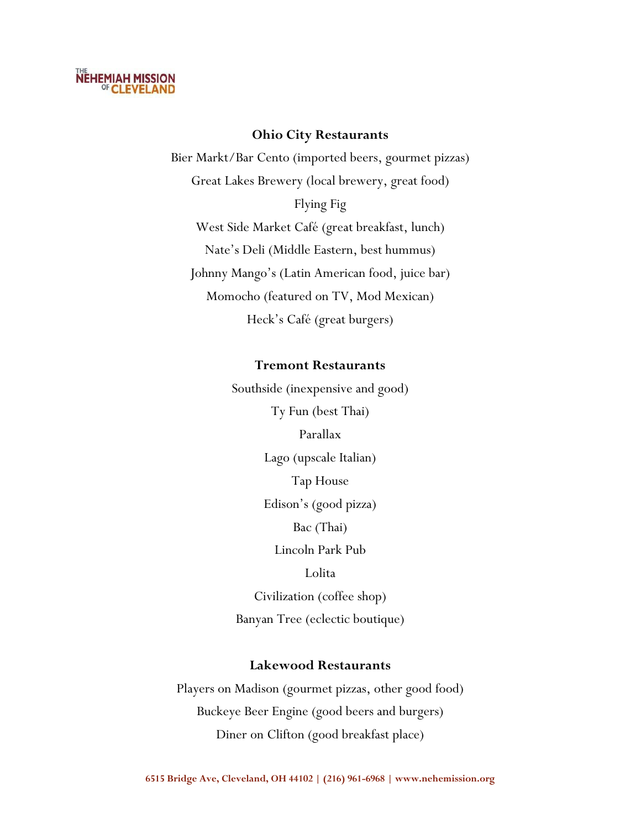

#### **Ohio City Restaurants**

Bier Markt/Bar Cento (imported beers, gourmet pizzas) Great Lakes Brewery (local brewery, great food) Flying Fig West Side Market Café (great breakfast, lunch) Nate's Deli (Middle Eastern, best hummus) Johnny Mango's (Latin American food, juice bar) Momocho (featured on TV, Mod Mexican) Heck's Café (great burgers)

#### **Tremont Restaurants**

Southside (inexpensive and good) Ty Fun (best Thai) Parallax Lago (upscale Italian) Tap House Edison's (good pizza) Bac (Thai) Lincoln Park Pub Lolita Civilization (coffee shop) Banyan Tree (eclectic boutique)

## **Lakewood Restaurants**

Players on Madison (gourmet pizzas, other good food) Buckeye Beer Engine (good beers and burgers) Diner on Clifton (good breakfast place)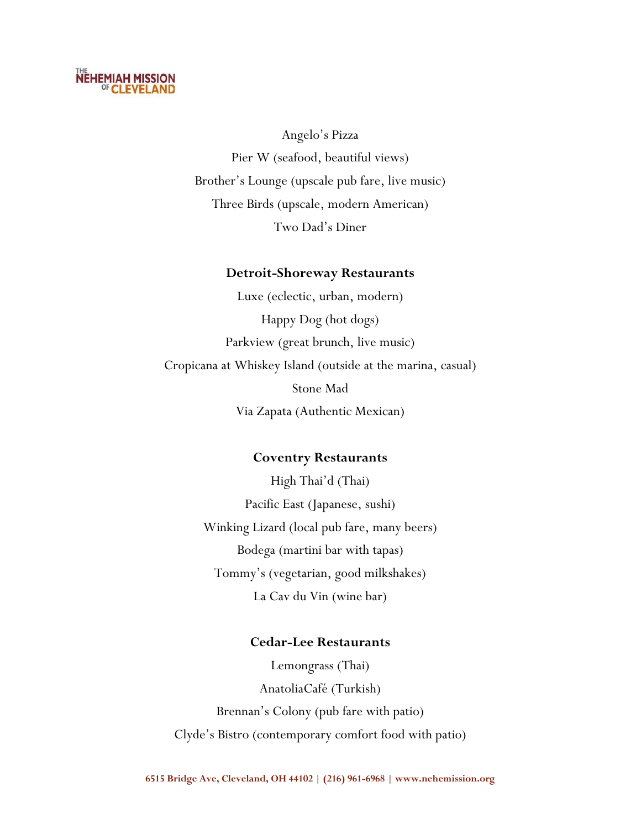# **NEHEMIAH MISSION**<br><sup>OF</sup> CLEVELAND

Angelo's Pizza Pier W (seafood, beautiful views) Brother's Lounge (upscale pub fare, live music) Three Birds (upscale, modern American) Two Dad's Diner

## **Detroit-Shoreway Restaurants**

Luxe (eclectic, urban, modern) Happy Dog (hot dogs) Parkview (great brunch, live music) Cropicana at Whiskey Island (outside at the marina, casual) Stone Mad Via Zapata (Authentic Mexican)

#### **Coventry Restaurants**

High Thai'd (Thai) Pacific East (Japanese, sushi) Winking Lizard (local pub fare, many beers) Bodega (martini bar with tapas) Tommy's (vegetarian, good milkshakes) La Cav du Vin (wine bar)

## **Cedar-Lee Restaurants**

Lemongrass (Thai) AnatoliaCafé (Turkish) Brennan's Colony (pub fare with patio) Clyde's Bistro (contemporary comfort food with patio)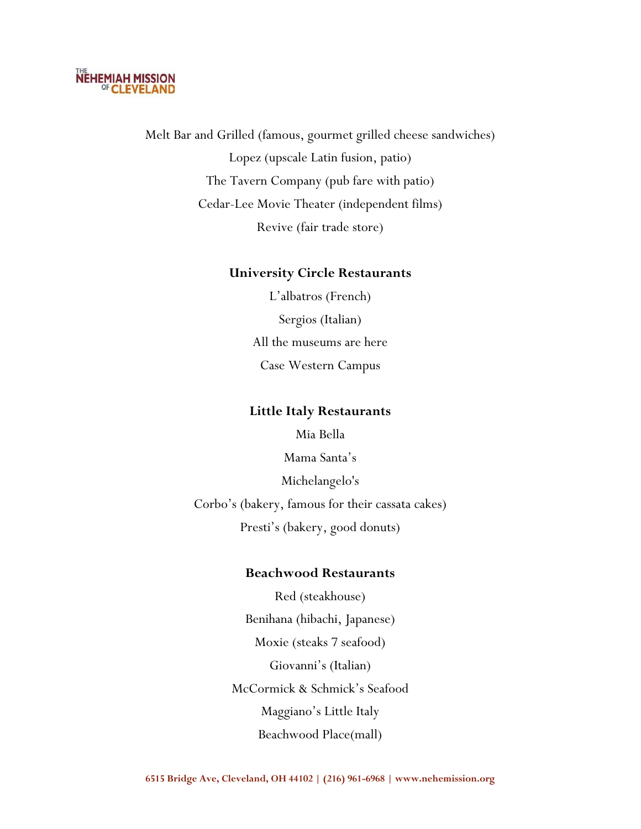

Melt Bar and Grilled (famous, gourmet grilled cheese sandwiches) Lopez (upscale Latin fusion, patio) The Tavern Company (pub fare with patio) Cedar-Lee Movie Theater (independent films) Revive (fair trade store)

# **University Circle Restaurants**

L'albatros (French) Sergios (Italian) All the museums are here Case Western Campus

#### **Little Italy Restaurants**

Mia Bella Mama Santa's Michelangelo's Corbo's (bakery, famous for their cassata cakes) Presti's (bakery, good donuts)

#### **Beachwood Restaurants**

Red (steakhouse) Benihana (hibachi, Japanese) Moxie (steaks 7 seafood) Giovanni's (Italian) McCormick & Schmick's Seafood Maggiano's Little Italy Beachwood Place(mall)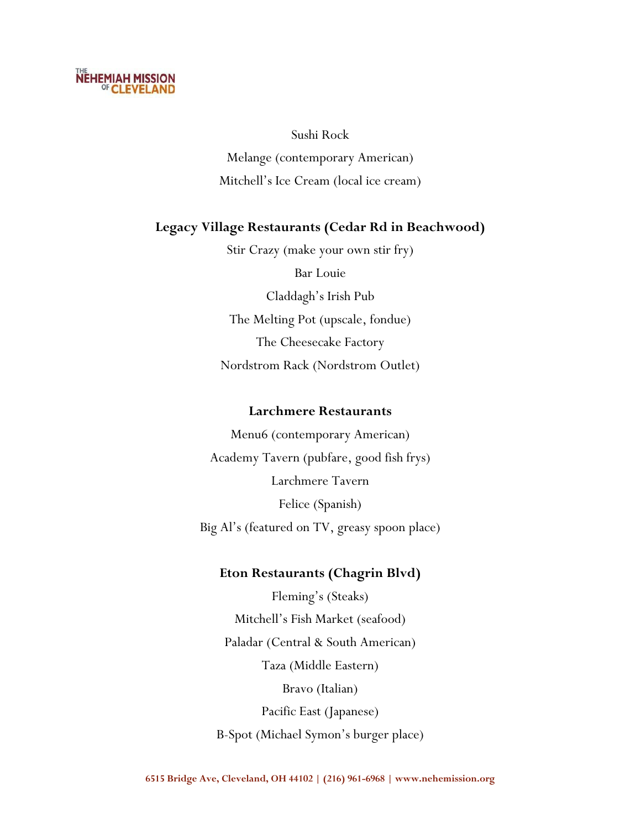# **NEHEMIAH MISSION**<br><sup>OF</sup> CLEVELAND

Sushi Rock Melange (contemporary American) Mitchell's Ice Cream (local ice cream)

# **Legacy Village Restaurants (Cedar Rd in Beachwood)**

Stir Crazy (make your own stir fry) Bar Louie Claddagh's Irish Pub The Melting Pot (upscale, fondue) The Cheesecake Factory Nordstrom Rack (Nordstrom Outlet)

## **Larchmere Restaurants**

Menu6 (contemporary American) Academy Tavern (pubfare, good fish frys) Larchmere Tavern Felice (Spanish) Big Al's (featured on TV, greasy spoon place)

# **Eton Restaurants (Chagrin Blvd)**

Fleming's (Steaks) Mitchell's Fish Market (seafood) Paladar (Central & South American) Taza (Middle Eastern) Bravo (Italian) Pacific East (Japanese) B-Spot (Michael Symon's burger place)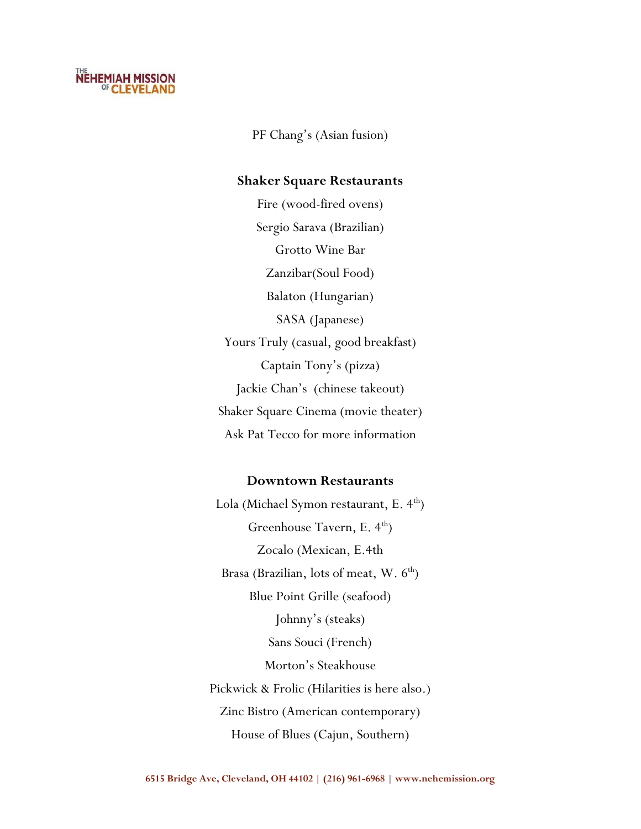

PF Chang's (Asian fusion)

#### **Shaker Square Restaurants**

Fire (wood-fired ovens) Sergio Sarava (Brazilian) Grotto Wine Bar Zanzibar(Soul Food) Balaton (Hungarian) SASA (Japanese) Yours Truly (casual, good breakfast) Captain Tony's (pizza) Jackie Chan's (chinese takeout) Shaker Square Cinema (movie theater) Ask Pat Tecco for more information

#### **Downtown Restaurants**

Lola (Michael Symon restaurant, E.  $4<sup>th</sup>$ ) Greenhouse Tavern, E.  $4<sup>th</sup>$ ) Zocalo (Mexican, E.4th Brasa (Brazilian, lots of meat, W.  $6<sup>th</sup>$ ) Blue Point Grille (seafood) Johnny's (steaks) Sans Souci (French) Morton's Steakhouse Pickwick & Frolic (Hilarities is here also.) Zinc Bistro (American contemporary) House of Blues (Cajun, Southern)